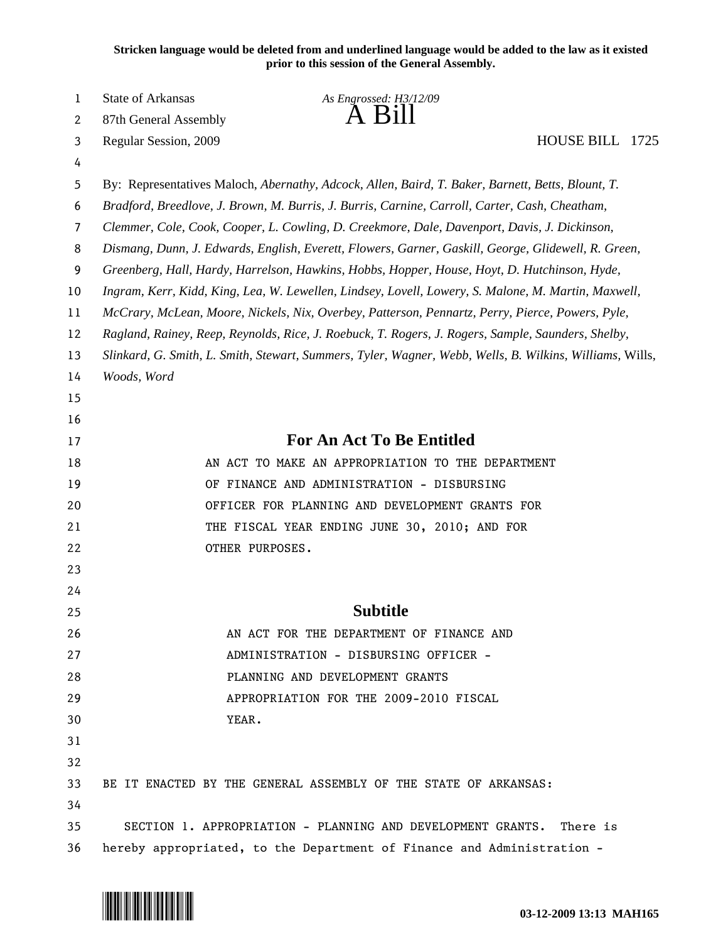**Stricken language would be deleted from and underlined language would be added to the law as it existed prior to this session of the General Assembly.**

| $\mathbf 1$ | State of Arkansas                                                                                        | As Engrossed: H3/12/09                                                 |                 |  |  |
|-------------|----------------------------------------------------------------------------------------------------------|------------------------------------------------------------------------|-----------------|--|--|
| 2           | 87th General Assembly                                                                                    | $\overline{A}$ $\overline{B}1$                                         |                 |  |  |
| 3           | Regular Session, 2009                                                                                    |                                                                        | HOUSE BILL 1725 |  |  |
| 4           |                                                                                                          |                                                                        |                 |  |  |
| 5           | By: Representatives Maloch, Abernathy, Adcock, Allen, Baird, T. Baker, Barnett, Betts, Blount, T.        |                                                                        |                 |  |  |
| 6           | Bradford, Breedlove, J. Brown, M. Burris, J. Burris, Carnine, Carroll, Carter, Cash, Cheatham,           |                                                                        |                 |  |  |
| 7           | Clemmer, Cole, Cook, Cooper, L. Cowling, D. Creekmore, Dale, Davenport, Davis, J. Dickinson,             |                                                                        |                 |  |  |
| 8           | Dismang, Dunn, J. Edwards, English, Everett, Flowers, Garner, Gaskill, George, Glidewell, R. Green,      |                                                                        |                 |  |  |
| 9           | Greenberg, Hall, Hardy, Harrelson, Hawkins, Hobbs, Hopper, House, Hoyt, D. Hutchinson, Hyde,             |                                                                        |                 |  |  |
| 10          | Ingram, Kerr, Kidd, King, Lea, W. Lewellen, Lindsey, Lovell, Lowery, S. Malone, M. Martin, Maxwell,      |                                                                        |                 |  |  |
| 11          | McCrary, McLean, Moore, Nickels, Nix, Overbey, Patterson, Pennartz, Perry, Pierce, Powers, Pyle,         |                                                                        |                 |  |  |
| 12          | Ragland, Rainey, Reep, Reynolds, Rice, J. Roebuck, T. Rogers, J. Rogers, Sample, Saunders, Shelby,       |                                                                        |                 |  |  |
| 13          | Slinkard, G. Smith, L. Smith, Stewart, Summers, Tyler, Wagner, Webb, Wells, B. Wilkins, Williams, Wills, |                                                                        |                 |  |  |
| 14          | Woods, Word                                                                                              |                                                                        |                 |  |  |
| 15          |                                                                                                          |                                                                        |                 |  |  |
| 16          |                                                                                                          |                                                                        |                 |  |  |
| 17          | For An Act To Be Entitled                                                                                |                                                                        |                 |  |  |
| 18          | AN ACT TO MAKE AN APPROPRIATION TO THE DEPARTMENT                                                        |                                                                        |                 |  |  |
| 19          | OF FINANCE AND ADMINISTRATION - DISBURSING                                                               |                                                                        |                 |  |  |
| 20          | OFFICER FOR PLANNING AND DEVELOPMENT GRANTS FOR                                                          |                                                                        |                 |  |  |
| 21          | THE FISCAL YEAR ENDING JUNE 30, 2010; AND FOR                                                            |                                                                        |                 |  |  |
| 22          | OTHER PURPOSES.                                                                                          |                                                                        |                 |  |  |
| 23          |                                                                                                          |                                                                        |                 |  |  |
| 24          |                                                                                                          |                                                                        |                 |  |  |
| 25          |                                                                                                          | <b>Subtitle</b>                                                        |                 |  |  |
| 26          |                                                                                                          | AN ACT FOR THE DEPARTMENT OF FINANCE AND                               |                 |  |  |
| 27          |                                                                                                          | ADMINISTRATION - DISBURSING OFFICER -                                  |                 |  |  |
| 28          |                                                                                                          | PLANNING AND DEVELOPMENT GRANTS                                        |                 |  |  |
| 29          |                                                                                                          | APPROPRIATION FOR THE 2009-2010 FISCAL                                 |                 |  |  |
| 30          | YEAR.                                                                                                    |                                                                        |                 |  |  |
| 31          |                                                                                                          |                                                                        |                 |  |  |
| 32          |                                                                                                          |                                                                        |                 |  |  |
| 33          |                                                                                                          | BE IT ENACTED BY THE GENERAL ASSEMBLY OF THE STATE OF ARKANSAS:        |                 |  |  |
| 34          |                                                                                                          |                                                                        |                 |  |  |
| 35          |                                                                                                          | SECTION 1. APPROPRIATION - PLANNING AND DEVELOPMENT GRANTS.            | There is        |  |  |
| 36          |                                                                                                          | hereby appropriated, to the Department of Finance and Administration - |                 |  |  |

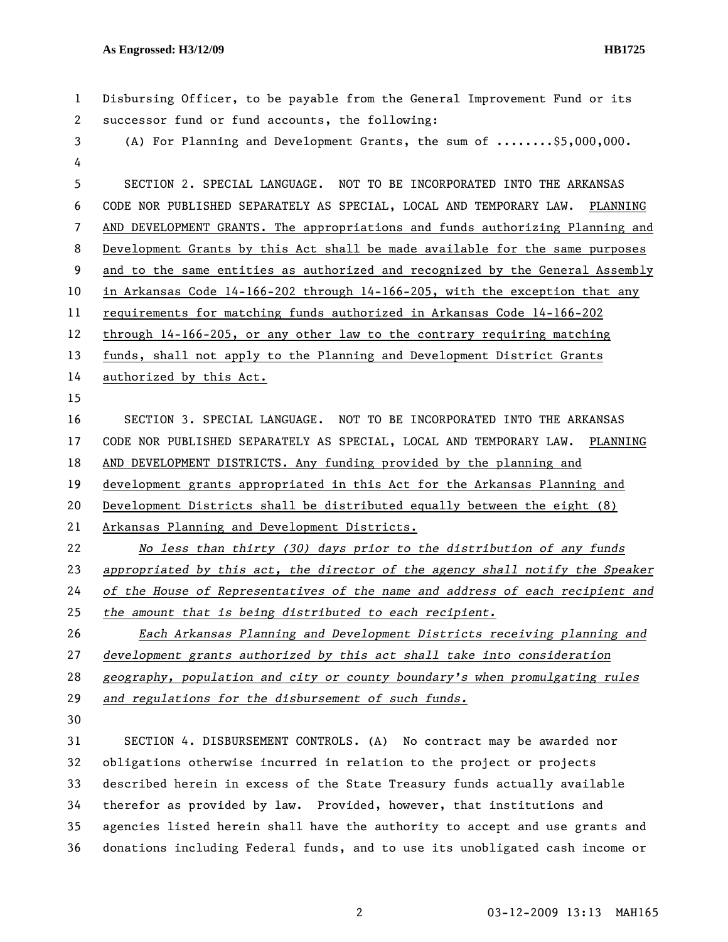| $\mathbf{1}$   | Disbursing Officer, to be payable from the General Improvement Fund or its    |  |
|----------------|-------------------------------------------------------------------------------|--|
| $\mathbf{2}$   | successor fund or fund accounts, the following:                               |  |
| 3              | (A) For Planning and Development Grants, the sum of \$5,000,000.              |  |
| 4              |                                                                               |  |
| 5              | SECTION 2. SPECIAL LANGUAGE. NOT TO BE INCORPORATED INTO THE ARKANSAS         |  |
| 6              | CODE NOR PUBLISHED SEPARATELY AS SPECIAL, LOCAL AND TEMPORARY LAW. PLANNING   |  |
| $\overline{7}$ | AND DEVELOPMENT GRANTS. The appropriations and funds authorizing Planning and |  |
| 8              | Development Grants by this Act shall be made available for the same purposes  |  |
| 9              | and to the same entities as authorized and recognized by the General Assembly |  |
| 10             | in Arkansas Code 14-166-202 through 14-166-205, with the exception that any   |  |
| 11             | requirements for matching funds authorized in Arkansas Code 14-166-202        |  |
| 12             | through 14-166-205, or any other law to the contrary requiring matching       |  |
| 13             | funds, shall not apply to the Planning and Development District Grants        |  |
| 14             | authorized by this Act.                                                       |  |
| 15             |                                                                               |  |
| 16             | SECTION 3. SPECIAL LANGUAGE. NOT TO BE INCORPORATED INTO THE ARKANSAS         |  |
| 17             | CODE NOR PUBLISHED SEPARATELY AS SPECIAL, LOCAL AND TEMPORARY LAW. PLANNING   |  |
| 18             | AND DEVELOPMENT DISTRICTS. Any funding provided by the planning and           |  |
| 19             | development grants appropriated in this Act for the Arkansas Planning and     |  |
| 20             | Development Districts shall be distributed equally between the eight (8)      |  |
| 21             | Arkansas Planning and Development Districts.                                  |  |
| 22             | No less than thirty (30) days prior to the distribution of any funds          |  |
| 23             | appropriated by this act, the director of the agency shall notify the Speaker |  |
| 24             | of the House of Representatives of the name and address of each recipient and |  |
| 25             | the amount that is being distributed to each recipient.                       |  |
| 26             | Each Arkansas Planning and Development Districts receiving planning and       |  |
| 27             | development grants authorized by this act shall take into consideration       |  |
| 28             | geography, population and city or county boundary's when promulgating rules   |  |
| 29             | and regulations for the disbursement of such funds.                           |  |
| 30             |                                                                               |  |
| 31             | SECTION 4. DISBURSEMENT CONTROLS. (A) No contract may be awarded nor          |  |
| 32             | obligations otherwise incurred in relation to the project or projects         |  |
| 33             | described herein in excess of the State Treasury funds actually available     |  |
| 34             | therefor as provided by law. Provided, however, that institutions and         |  |
| 35             | agencies listed herein shall have the authority to accept and use grants and  |  |
| 36             | donations including Federal funds, and to use its unobligated cash income or  |  |
|                |                                                                               |  |